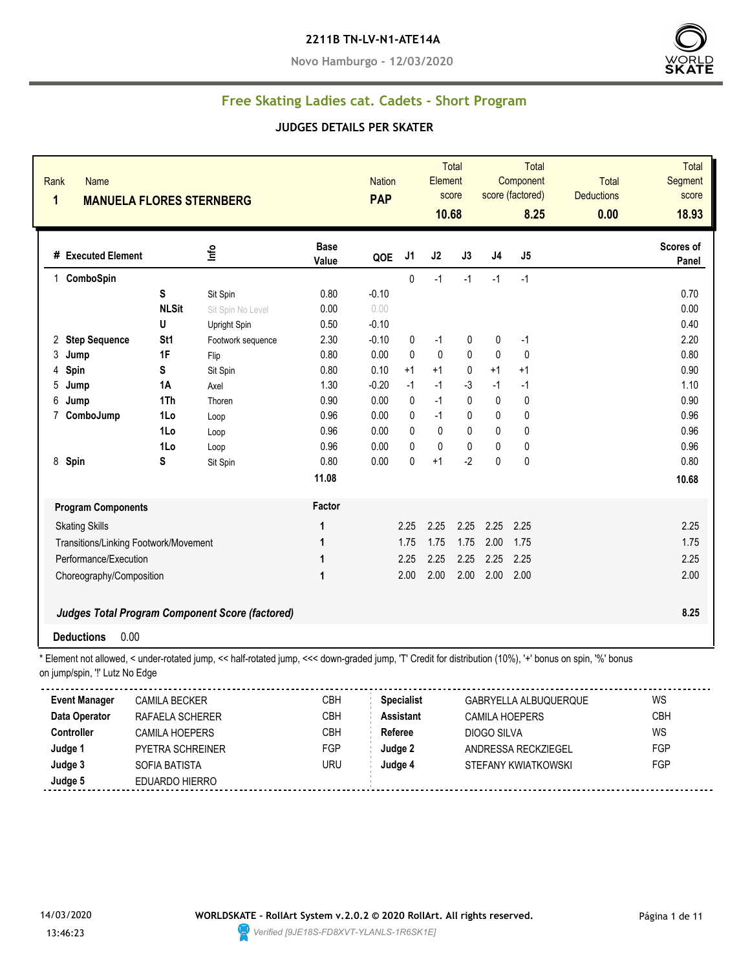#### **2211B TN-LV-N1-ATE14A**

**Novo Hamburgo - 12/03/2020**



### **Free Skating Ladies cat. Cadets - Short Program**

#### **JUDGES DETAILS PER SKATER**

| <b>Total</b><br>Segment<br><b>Deductions</b><br>score<br>18.93<br>0.00                                                                                   |
|----------------------------------------------------------------------------------------------------------------------------------------------------------|
| <b>Scores of</b><br>Panel                                                                                                                                |
|                                                                                                                                                          |
| 0.70                                                                                                                                                     |
| 0.00                                                                                                                                                     |
| 0.40                                                                                                                                                     |
| 2.20                                                                                                                                                     |
| 0.80                                                                                                                                                     |
| 0.90                                                                                                                                                     |
| 1.10                                                                                                                                                     |
| 0.90                                                                                                                                                     |
| 0.96                                                                                                                                                     |
| 0.96                                                                                                                                                     |
| 0.96                                                                                                                                                     |
| 0.80                                                                                                                                                     |
| 10.68                                                                                                                                                    |
|                                                                                                                                                          |
| 2.25                                                                                                                                                     |
| 1.75                                                                                                                                                     |
| 2.25                                                                                                                                                     |
| 2.00                                                                                                                                                     |
|                                                                                                                                                          |
|                                                                                                                                                          |
| 8.25                                                                                                                                                     |
|                                                                                                                                                          |
| * Element not allowed, < under-rotated jump, << half-rotated jump, <<< down-graded jump, 'T' Credit for distribution (10%), '+' bonus on spin, '%' bonus |
|                                                                                                                                                          |
| <b>WS</b><br>GABRYELLA ALBUQUERQUE                                                                                                                       |
| <b>CBH</b>                                                                                                                                               |
| WS                                                                                                                                                       |
| ANDRESSA RECKZIEGEL<br>FGP                                                                                                                               |
| FGP                                                                                                                                                      |
|                                                                                                                                                          |
| STEFANY KWIATKOWSKI                                                                                                                                      |

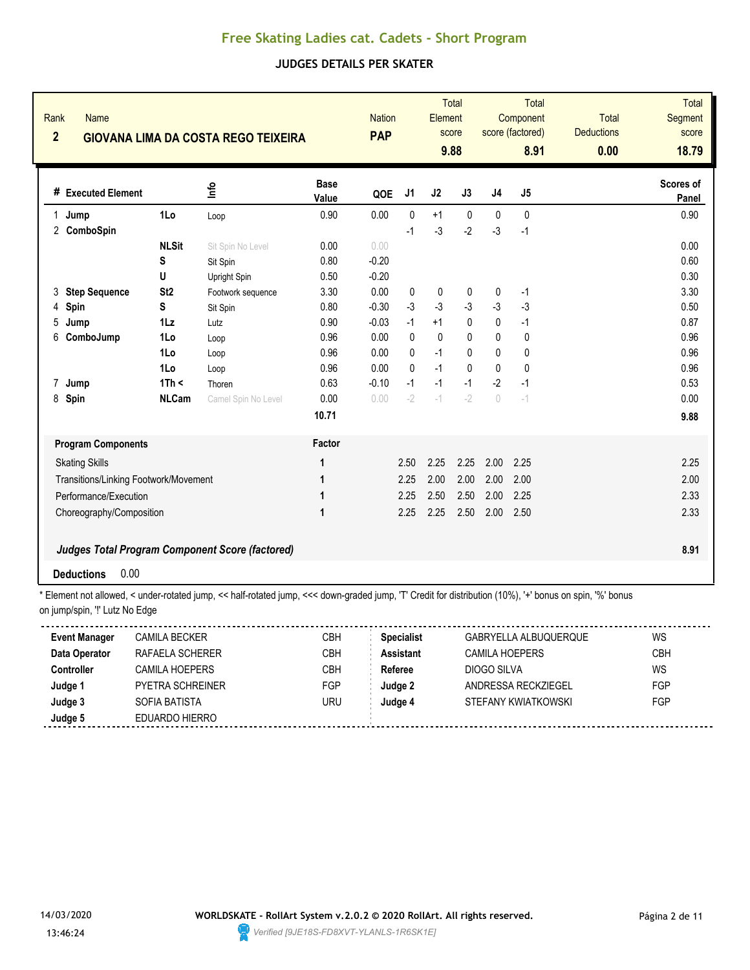### **JUDGES DETAILS PER SKATER**

| Rank<br>$\overline{2}$ | Name<br><b>GIOVANA LIMA DA COSTA REGO TEIXEIRA</b> |                 |                                                 |                      |         | <b>Nation</b> | Element      | <b>Total</b><br>score<br>9.88 |                                  | <b>Total</b><br>Component<br>score (factored)<br>8.91 | <b>Total</b><br><b>Deductions</b><br>0.00 | <b>Total</b><br><b>Segment</b><br>score<br>18.79 |
|------------------------|----------------------------------------------------|-----------------|-------------------------------------------------|----------------------|---------|---------------|--------------|-------------------------------|----------------------------------|-------------------------------------------------------|-------------------------------------------|--------------------------------------------------|
|                        | # Executed Element                                 |                 | ۴ů                                              | <b>Base</b><br>Value | QOE     | J1            | J2           | J3                            | J4                               | J5                                                    |                                           | Scores of<br>Panel                               |
| Jump<br>1              |                                                    | 1Lo             | Loop                                            | 0.90                 | 0.00    | 0             | $+1$         | $\pmb{0}$                     | 0                                | 0                                                     |                                           | 0.90                                             |
|                        | 2 ComboSpin                                        |                 |                                                 |                      |         | $-1$          | $-3$         | $-2$                          | -3                               | $-1$                                                  |                                           |                                                  |
|                        |                                                    | <b>NLSit</b>    | Sit Spin No Level                               | 0.00                 | 0.00    |               |              |                               |                                  |                                                       |                                           | 0.00                                             |
|                        |                                                    | S               | Sit Spin                                        | 0.80                 | $-0.20$ |               |              |                               |                                  |                                                       |                                           | 0.60                                             |
|                        |                                                    | U               | Upright Spin                                    | 0.50                 | $-0.20$ |               |              |                               |                                  |                                                       |                                           | 0.30                                             |
| 3                      | <b>Step Sequence</b>                               | St <sub>2</sub> | Footwork sequence                               | 3.30                 | 0.00    | 0             | $\mathbf 0$  | 0                             | 0                                | $-1$                                                  |                                           | 3.30                                             |
| Spin<br>4              |                                                    | S               | Sit Spin                                        | 0.80                 | $-0.30$ | $-3$          | $-3$         | $-3$                          | $-3$                             | $-3$                                                  |                                           | 0.50                                             |
| 5<br>Jump              |                                                    | $1\mathsf{L}z$  | Lutz                                            | 0.90                 | $-0.03$ | $-1$          | $+1$         | $\mathbf{0}$                  | $\mathbf{0}$                     | $-1$                                                  |                                           | 0.87                                             |
| 6                      | ComboJump                                          | 1Lo             | Loop                                            | 0.96                 | 0.00    | 0             | $\mathbf{0}$ | 0                             | $\mathbf{0}$                     | 0                                                     |                                           | 0.96                                             |
|                        |                                                    | 1Lo             | Loop                                            | 0.96                 | 0.00    | 0             | $-1$         | 0                             | $\mathbf{0}$                     | 0                                                     |                                           | 0.96                                             |
|                        |                                                    | 1Lo             | Loop                                            | 0.96                 | 0.00    | $\Omega$      | $-1$         | $\Omega$                      | $\mathbf{0}$                     | $\pmb{0}$                                             |                                           | 0.96                                             |
| 7<br>Jump              |                                                    | 1Th <           | Thoren                                          | 0.63                 | $-0.10$ | $-1$          | $-1$         | $-1$                          | $-2$                             | $-1$                                                  |                                           | 0.53                                             |
| 8<br>Spin              |                                                    | <b>NLCam</b>    | Camel Spin No Level                             | 0.00                 | 0.00    | $-2$          | $-1$         | $-2$                          | $\begin{array}{c} \n\end{array}$ | $-1$                                                  |                                           | 0.00                                             |
|                        |                                                    |                 |                                                 | 10.71                |         |               |              |                               |                                  |                                                       |                                           | 9.88                                             |
|                        | <b>Program Components</b>                          |                 |                                                 | Factor               |         |               |              |                               |                                  |                                                       |                                           |                                                  |
| <b>Skating Skills</b>  |                                                    |                 |                                                 | 1                    |         | 2.50          | 2.25         | 2.25                          | 2.00                             | 2.25                                                  |                                           | 2.25                                             |
|                        | Transitions/Linking Footwork/Movement              |                 |                                                 | 1                    |         | 2.25          | 2.00         | 2.00                          | 2.00                             | 2.00                                                  |                                           | 2.00                                             |
|                        | Performance/Execution                              |                 |                                                 | 1                    |         | 2.25          | 2.50         | 2.50                          | 2.00                             | 2.25                                                  |                                           | 2.33                                             |
|                        | Choreography/Composition                           |                 |                                                 | 1                    |         | 2.25          | 2.25         | 2.50                          | 2.00                             | 2.50                                                  |                                           | 2.33                                             |
|                        |                                                    |                 | Judges Total Program Component Score (factored) |                      |         |               |              |                               |                                  |                                                       |                                           | 8.91                                             |
| <b>Deductions</b>      | 0.00                                               |                 |                                                 |                      |         |               |              |                               |                                  |                                                       |                                           |                                                  |

\* Element not allowed, < under-rotated jump, << half-rotated jump, <<< down-graded jump, 'T' Credit for distribution (10%), '+' bonus on spin, '%' bonus on jump/spin, "!' Lutz No Edge

| <b>Event Manager</b> | <b>CAMILA BECKER</b>    | СВН | <b>Specialist</b> | GABRYELLA ALBUQUERQUE | WS   |
|----------------------|-------------------------|-----|-------------------|-----------------------|------|
| Data Operator        | RAFAELA SCHERER         | СВН | Assistant         | <b>CAMILA HOEPERS</b> | CBH. |
| <b>Controller</b>    | CAMILA HOFPERS          | CBH | Referee           | DIOGO SILVA           | WS   |
| Judge 1              | <b>PYFTRA SCHREINER</b> | FGP | Judge 2           | ANDRESSA RECKZIEGEL   | FGP  |
| Judge 3              | SOFIA BATISTA           | uru | Judge 4           | STEFANY KWIATKOWSKI   | FGP  |
| Judge 5              | EDUARDO HIERRO          |     |                   |                       |      |
|                      |                         |     |                   |                       |      |

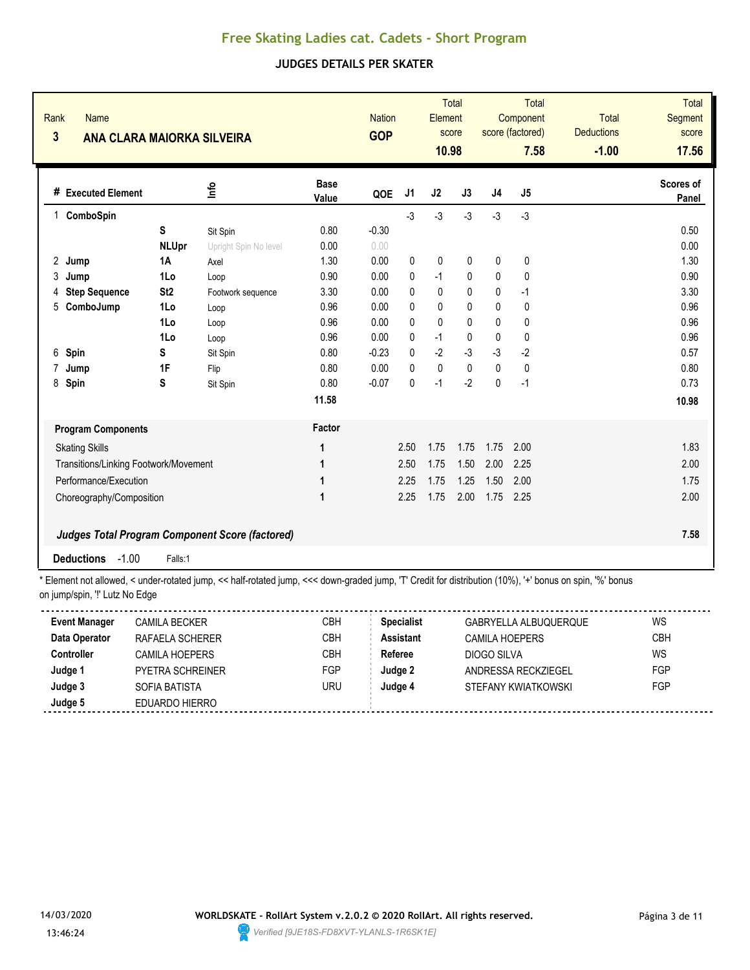### **JUDGES DETAILS PER SKATER**

| Rank<br><b>Name</b><br>$\overline{\mathbf{3}}$<br><b>ANA CLARA MAIORKA SILVEIRA</b> |                 |                                                        |                      | <b>Nation</b><br><b>GOP</b> |                | <b>Total</b><br>Element<br>score<br>10.98 |              | Total<br>Component<br>score (factored) |                | <b>Total</b><br><b>Deductions</b> | Total<br><b>Segment</b><br>score<br>17.56 |
|-------------------------------------------------------------------------------------|-----------------|--------------------------------------------------------|----------------------|-----------------------------|----------------|-------------------------------------------|--------------|----------------------------------------|----------------|-----------------------------------|-------------------------------------------|
|                                                                                     |                 |                                                        |                      |                             |                |                                           |              |                                        | 7.58           | $-1.00$                           |                                           |
| # Executed Element                                                                  |                 | lnfo                                                   | <b>Base</b><br>Value | QOE                         | J <sub>1</sub> | J2                                        | J3           | J4                                     | J <sub>5</sub> |                                   | Scores of<br>Panel                        |
| ComboSpin<br>1                                                                      |                 |                                                        |                      |                             | $-3$           | $-3$                                      | $-3$         | $-3$                                   | $-3$           |                                   |                                           |
|                                                                                     | S               | Sit Spin                                               | 0.80                 | $-0.30$                     |                |                                           |              |                                        |                |                                   | 0.50                                      |
|                                                                                     | <b>NLUpr</b>    | Upright Spin No level                                  | 0.00                 | 0.00                        |                |                                           |              |                                        |                |                                   | 0.00                                      |
| $\overline{2}$<br>Jump                                                              | 1A              | Axel                                                   | 1.30                 | 0.00                        | 0              | $\mathbf 0$                               | 0            | 0                                      | 0              |                                   | 1.30                                      |
| 3<br>Jump                                                                           | 1Lo             | Loop                                                   | 0.90                 | 0.00                        | 0              | $-1$                                      | 0            | 0                                      | $\mathbf 0$    |                                   | 0.90                                      |
| <b>Step Sequence</b><br>4                                                           | St <sub>2</sub> | Footwork sequence                                      | 3.30                 | 0.00                        | $\mathbf{0}$   | $\mathbf 0$                               | 0            | 0                                      | $-1$           |                                   | 3.30                                      |
| ComboJump<br>5                                                                      | 1Lo             | Loop                                                   | 0.96                 | 0.00                        | 0              | 0                                         | 0            | 0                                      | 0              |                                   | 0.96                                      |
|                                                                                     | 1Lo             | Loop                                                   | 0.96                 | 0.00                        | $\mathbf{0}$   | $\mathbf{0}$                              | $\mathbf{0}$ | 0                                      | 0              |                                   | 0.96                                      |
|                                                                                     | 1Lo             | Loop                                                   | 0.96                 | 0.00                        | 0              | $-1$                                      | 0            | 0                                      | 0              |                                   | 0.96                                      |
| 6<br>Spin                                                                           | s               | Sit Spin                                               | 0.80                 | $-0.23$                     | $\mathbf{0}$   | $-2$                                      | $-3$         | $-3$                                   | $-2$           |                                   | 0.57                                      |
| 7<br>Jump                                                                           | 1F              | Flip                                                   | 0.80                 | 0.00                        | $\mathbf{0}$   | $\mathbf 0$                               | $\mathbf{0}$ | $\mathbf{0}$                           | 0              |                                   | 0.80                                      |
| 8<br>Spin                                                                           | S               | Sit Spin                                               | 0.80                 | $-0.07$                     | $\pmb{0}$      | $-1$                                      | $-2$         | $\pmb{0}$                              | $-1$           |                                   | 0.73                                      |
|                                                                                     |                 |                                                        | 11.58                |                             |                |                                           |              |                                        |                |                                   | 10.98                                     |
| <b>Program Components</b>                                                           |                 |                                                        | Factor               |                             |                |                                           |              |                                        |                |                                   |                                           |
| <b>Skating Skills</b>                                                               |                 |                                                        | 1                    |                             | 2.50           | 1.75                                      | 1.75         | 1.75                                   | 2.00           |                                   | 1.83                                      |
| Transitions/Linking Footwork/Movement                                               |                 |                                                        | 1                    |                             | 2.50           | 1.75                                      | 1.50         | 2.00                                   | 2.25           |                                   | 2.00                                      |
| Performance/Execution                                                               |                 |                                                        | 1                    |                             | 2.25           | 1.75                                      | 1.25         | 1.50                                   | 2.00           |                                   | 1.75                                      |
| Choreography/Composition                                                            |                 |                                                        | 1                    |                             | 2.25           | 1.75                                      | 2.00         | 1.75                                   | 2.25           |                                   | 2.00                                      |
|                                                                                     |                 |                                                        |                      |                             |                |                                           |              |                                        |                |                                   |                                           |
|                                                                                     |                 | <b>Judges Total Program Component Score (factored)</b> |                      |                             |                |                                           |              |                                        |                |                                   | 7.58                                      |
| $-1.00$<br><b>Deductions</b>                                                        | Falls:1         |                                                        |                      |                             |                |                                           |              |                                        |                |                                   |                                           |

\* Element not allowed, < under-rotated jump, << half-rotated jump, <<< down-graded jump, 'T' Credit for distribution (10%), '+' bonus on spin, '%' bonus on jump/spin, '!' Lutz No Edge

| <b>Event Manager</b> | CAMILA BECKER           | CBH | <b>Specialist</b> | GABRYELLA ALBUQUERQUE | WS         |
|----------------------|-------------------------|-----|-------------------|-----------------------|------------|
| Data Operator        | RAFAELA SCHERER         | СВН | <b>Assistant</b>  | CAMILA HOEPERS        | <b>CBH</b> |
| Controller           | CAMILA HOEPERS          | CBH | Referee           | DIOGO SILVA           | WS         |
| Judge 1              | <b>PYETRA SCHREINER</b> | FGP | Judge 2           | ANDRESSA RECKZIEGEL   | FGP        |
| Judge 3              | SOFIA BATISTA           | uru | Judge 4           | STEFANY KWIATKOWSKI   | FGP        |
| Judge 5              | EDUARDO HIERRO          |     |                   |                       |            |

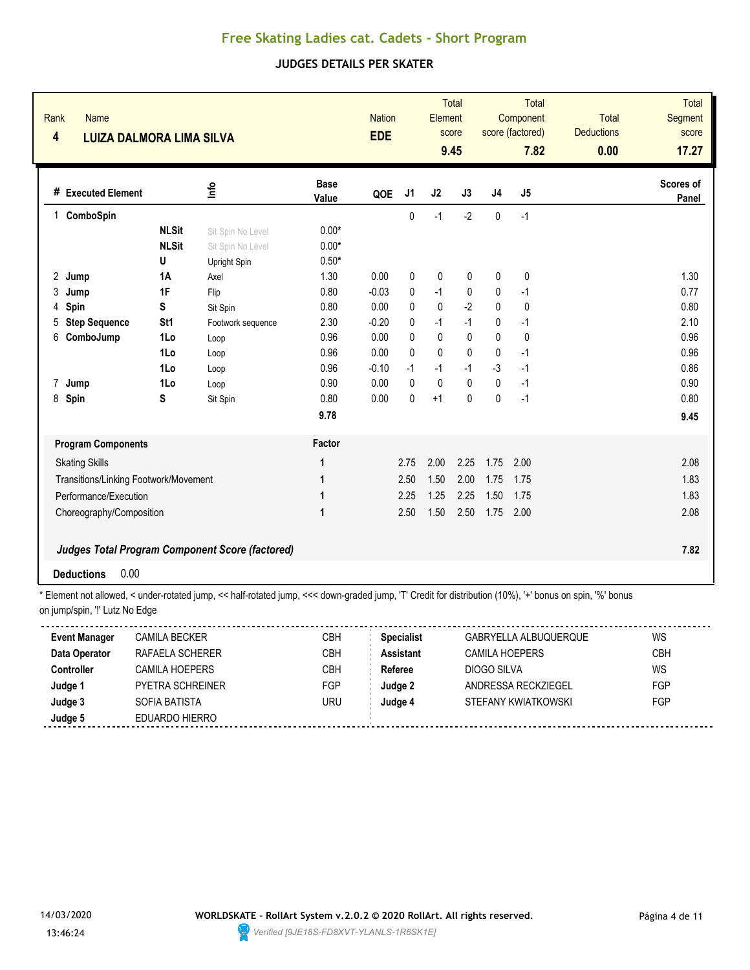### **JUDGES DETAILS PER SKATER**

| <b>Base</b><br>Scores of<br>۴ů<br># Executed Element<br>J1<br>J2<br>J3<br>J <sub>4</sub><br>J <sub>5</sub><br>QOE<br>Value<br>Panel<br>ComboSpin<br>$-2$<br>$\pmb{0}$<br>0<br>$-1$<br>$-1$<br>1<br><b>NLSit</b><br>$0.00*$<br>Sit Spin No Level<br><b>NLSit</b><br>$0.00*$<br>Sit Spin No Level<br>$0.50*$<br>U<br>Upright Spin<br>$\mathbf 0$<br>1.30<br>1.30<br>0.00<br>0<br>0<br>0<br>0<br>2 Jump<br><b>1A</b><br>Axel<br>0.77<br>1F<br>0.80<br>$-0.03$<br>$-1$<br>$\mathbf 0$<br>0<br>3<br>Flip<br>0<br>$-1$<br>Jump<br>$-2$<br>$\mathbf 0$<br>S<br>0.80<br>0.00<br>0<br>0.80<br>Spin<br>0<br>0<br>4<br>Sit Spin<br>$-1$<br>$-1$<br>2.10<br>St1<br>2.30<br>$-0.20$<br>0<br>0<br>$-1$<br><b>Step Sequence</b><br>5<br>Footwork sequence<br>0.96<br>0.96<br>0.00<br>0<br>0<br>0<br>$\mathbf 0$<br>6<br>ComboJump<br>1Lo<br>0<br>Loop<br>0.00<br>$\mathbf{0}$<br>$\mathbf{0}$<br>0.96<br>1Lo<br>0.96<br>$\Omega$<br>$\mathbf{0}$<br>$-1$<br>Loop<br>$-3$<br>0.86<br>0.96<br>$-1$<br>$-1$<br>$-1$<br>$-1$<br>1Lo<br>$-0.10$<br>Loop<br>0.90<br>$\mathbf{0}$<br>$\mathbf 0$<br>0<br>0.90<br>1Lo<br>0.00<br>0<br>$-1$<br>Jump<br>7<br>Loop<br>$+1$<br>$\mathbf{0}$<br>$-1$<br>0.80<br>8<br>Spin<br>S<br>0.80<br>0.00<br>0<br>$\mathbf{0}$<br>Sit Spin<br>9.78<br>9.45<br>Factor<br><b>Program Components</b><br>2.75<br>2.00<br>1.75<br>2.00<br>2.25<br>2.08<br><b>Skating Skills</b><br>1<br>1.50<br>2.00<br>1.83<br>2.50<br>1.75<br>1.75<br>Transitions/Linking Footwork/Movement<br>1<br>1.25<br>1.83<br>2.25<br>2.25<br>1.50<br>1.75<br>Performance/Execution<br>1<br>2.50<br>1.50<br>2.50<br>2.08<br>1<br>1.75<br>2.00<br>Choreography/Composition<br>Judges Total Program Component Score (factored)<br>7.82<br>0.00<br><b>Deductions</b> | Rank<br>Name<br>$\overline{\mathbf{4}}$<br><b>LUIZA DALMORA LIMA SILVA</b> | <b>Nation</b><br><b>EDE</b> | <b>Total</b><br>Element<br>score<br>9.45 |  | <b>Total</b><br>Component<br>score (factored)<br>7.82 | <b>Total</b><br><b>Deductions</b><br>0.00 | <b>Total</b><br><b>Segment</b><br>score<br>17.27 |  |
|-----------------------------------------------------------------------------------------------------------------------------------------------------------------------------------------------------------------------------------------------------------------------------------------------------------------------------------------------------------------------------------------------------------------------------------------------------------------------------------------------------------------------------------------------------------------------------------------------------------------------------------------------------------------------------------------------------------------------------------------------------------------------------------------------------------------------------------------------------------------------------------------------------------------------------------------------------------------------------------------------------------------------------------------------------------------------------------------------------------------------------------------------------------------------------------------------------------------------------------------------------------------------------------------------------------------------------------------------------------------------------------------------------------------------------------------------------------------------------------------------------------------------------------------------------------------------------------------------------------------------------------------------------------------------------------------------------------------------------------------------|----------------------------------------------------------------------------|-----------------------------|------------------------------------------|--|-------------------------------------------------------|-------------------------------------------|--------------------------------------------------|--|
|                                                                                                                                                                                                                                                                                                                                                                                                                                                                                                                                                                                                                                                                                                                                                                                                                                                                                                                                                                                                                                                                                                                                                                                                                                                                                                                                                                                                                                                                                                                                                                                                                                                                                                                                               |                                                                            |                             |                                          |  |                                                       |                                           |                                                  |  |
|                                                                                                                                                                                                                                                                                                                                                                                                                                                                                                                                                                                                                                                                                                                                                                                                                                                                                                                                                                                                                                                                                                                                                                                                                                                                                                                                                                                                                                                                                                                                                                                                                                                                                                                                               |                                                                            |                             |                                          |  |                                                       |                                           |                                                  |  |
|                                                                                                                                                                                                                                                                                                                                                                                                                                                                                                                                                                                                                                                                                                                                                                                                                                                                                                                                                                                                                                                                                                                                                                                                                                                                                                                                                                                                                                                                                                                                                                                                                                                                                                                                               |                                                                            |                             |                                          |  |                                                       |                                           |                                                  |  |
|                                                                                                                                                                                                                                                                                                                                                                                                                                                                                                                                                                                                                                                                                                                                                                                                                                                                                                                                                                                                                                                                                                                                                                                                                                                                                                                                                                                                                                                                                                                                                                                                                                                                                                                                               |                                                                            |                             |                                          |  |                                                       |                                           |                                                  |  |
|                                                                                                                                                                                                                                                                                                                                                                                                                                                                                                                                                                                                                                                                                                                                                                                                                                                                                                                                                                                                                                                                                                                                                                                                                                                                                                                                                                                                                                                                                                                                                                                                                                                                                                                                               |                                                                            |                             |                                          |  |                                                       |                                           |                                                  |  |
|                                                                                                                                                                                                                                                                                                                                                                                                                                                                                                                                                                                                                                                                                                                                                                                                                                                                                                                                                                                                                                                                                                                                                                                                                                                                                                                                                                                                                                                                                                                                                                                                                                                                                                                                               |                                                                            |                             |                                          |  |                                                       |                                           |                                                  |  |
|                                                                                                                                                                                                                                                                                                                                                                                                                                                                                                                                                                                                                                                                                                                                                                                                                                                                                                                                                                                                                                                                                                                                                                                                                                                                                                                                                                                                                                                                                                                                                                                                                                                                                                                                               |                                                                            |                             |                                          |  |                                                       |                                           |                                                  |  |
|                                                                                                                                                                                                                                                                                                                                                                                                                                                                                                                                                                                                                                                                                                                                                                                                                                                                                                                                                                                                                                                                                                                                                                                                                                                                                                                                                                                                                                                                                                                                                                                                                                                                                                                                               |                                                                            |                             |                                          |  |                                                       |                                           |                                                  |  |
|                                                                                                                                                                                                                                                                                                                                                                                                                                                                                                                                                                                                                                                                                                                                                                                                                                                                                                                                                                                                                                                                                                                                                                                                                                                                                                                                                                                                                                                                                                                                                                                                                                                                                                                                               |                                                                            |                             |                                          |  |                                                       |                                           |                                                  |  |
|                                                                                                                                                                                                                                                                                                                                                                                                                                                                                                                                                                                                                                                                                                                                                                                                                                                                                                                                                                                                                                                                                                                                                                                                                                                                                                                                                                                                                                                                                                                                                                                                                                                                                                                                               |                                                                            |                             |                                          |  |                                                       |                                           |                                                  |  |
|                                                                                                                                                                                                                                                                                                                                                                                                                                                                                                                                                                                                                                                                                                                                                                                                                                                                                                                                                                                                                                                                                                                                                                                                                                                                                                                                                                                                                                                                                                                                                                                                                                                                                                                                               |                                                                            |                             |                                          |  |                                                       |                                           |                                                  |  |
|                                                                                                                                                                                                                                                                                                                                                                                                                                                                                                                                                                                                                                                                                                                                                                                                                                                                                                                                                                                                                                                                                                                                                                                                                                                                                                                                                                                                                                                                                                                                                                                                                                                                                                                                               |                                                                            |                             |                                          |  |                                                       |                                           |                                                  |  |
|                                                                                                                                                                                                                                                                                                                                                                                                                                                                                                                                                                                                                                                                                                                                                                                                                                                                                                                                                                                                                                                                                                                                                                                                                                                                                                                                                                                                                                                                                                                                                                                                                                                                                                                                               |                                                                            |                             |                                          |  |                                                       |                                           |                                                  |  |
|                                                                                                                                                                                                                                                                                                                                                                                                                                                                                                                                                                                                                                                                                                                                                                                                                                                                                                                                                                                                                                                                                                                                                                                                                                                                                                                                                                                                                                                                                                                                                                                                                                                                                                                                               |                                                                            |                             |                                          |  |                                                       |                                           |                                                  |  |
|                                                                                                                                                                                                                                                                                                                                                                                                                                                                                                                                                                                                                                                                                                                                                                                                                                                                                                                                                                                                                                                                                                                                                                                                                                                                                                                                                                                                                                                                                                                                                                                                                                                                                                                                               |                                                                            |                             |                                          |  |                                                       |                                           |                                                  |  |
|                                                                                                                                                                                                                                                                                                                                                                                                                                                                                                                                                                                                                                                                                                                                                                                                                                                                                                                                                                                                                                                                                                                                                                                                                                                                                                                                                                                                                                                                                                                                                                                                                                                                                                                                               |                                                                            |                             |                                          |  |                                                       |                                           |                                                  |  |
|                                                                                                                                                                                                                                                                                                                                                                                                                                                                                                                                                                                                                                                                                                                                                                                                                                                                                                                                                                                                                                                                                                                                                                                                                                                                                                                                                                                                                                                                                                                                                                                                                                                                                                                                               |                                                                            |                             |                                          |  |                                                       |                                           |                                                  |  |
|                                                                                                                                                                                                                                                                                                                                                                                                                                                                                                                                                                                                                                                                                                                                                                                                                                                                                                                                                                                                                                                                                                                                                                                                                                                                                                                                                                                                                                                                                                                                                                                                                                                                                                                                               |                                                                            |                             |                                          |  |                                                       |                                           |                                                  |  |
|                                                                                                                                                                                                                                                                                                                                                                                                                                                                                                                                                                                                                                                                                                                                                                                                                                                                                                                                                                                                                                                                                                                                                                                                                                                                                                                                                                                                                                                                                                                                                                                                                                                                                                                                               |                                                                            |                             |                                          |  |                                                       |                                           |                                                  |  |
|                                                                                                                                                                                                                                                                                                                                                                                                                                                                                                                                                                                                                                                                                                                                                                                                                                                                                                                                                                                                                                                                                                                                                                                                                                                                                                                                                                                                                                                                                                                                                                                                                                                                                                                                               |                                                                            |                             |                                          |  |                                                       |                                           |                                                  |  |
|                                                                                                                                                                                                                                                                                                                                                                                                                                                                                                                                                                                                                                                                                                                                                                                                                                                                                                                                                                                                                                                                                                                                                                                                                                                                                                                                                                                                                                                                                                                                                                                                                                                                                                                                               |                                                                            |                             |                                          |  |                                                       |                                           |                                                  |  |
|                                                                                                                                                                                                                                                                                                                                                                                                                                                                                                                                                                                                                                                                                                                                                                                                                                                                                                                                                                                                                                                                                                                                                                                                                                                                                                                                                                                                                                                                                                                                                                                                                                                                                                                                               |                                                                            |                             |                                          |  |                                                       |                                           |                                                  |  |

| <b>Event Manager</b> | CAMILA BECKER           | СВН | <b>Specialist</b> | GABRYELLA ALBUQUERQUE | WS         |
|----------------------|-------------------------|-----|-------------------|-----------------------|------------|
| Data Operator        | RAFAELA SCHERER         | CBH | Assistant         | CAMILA HOEPERS        | CBH        |
| <b>Controller</b>    | <b>CAMILA HOEPERS</b>   | СВН | Referee           | DIOGO SILVA           | WS         |
| Judge 1              | <b>PYETRA SCHREINER</b> | FGP | Judge 2           | ANDRESSA RECKZIEGEL   | <b>FGP</b> |
| Judge 3              | SOFIA BATISTA           | URU | Judge 4           | STEFANY KWIATKOWSKI   | FGP        |
| Judge 5              | EDUARDO HIERRO          |     |                   |                       |            |
|                      |                         |     |                   |                       |            |

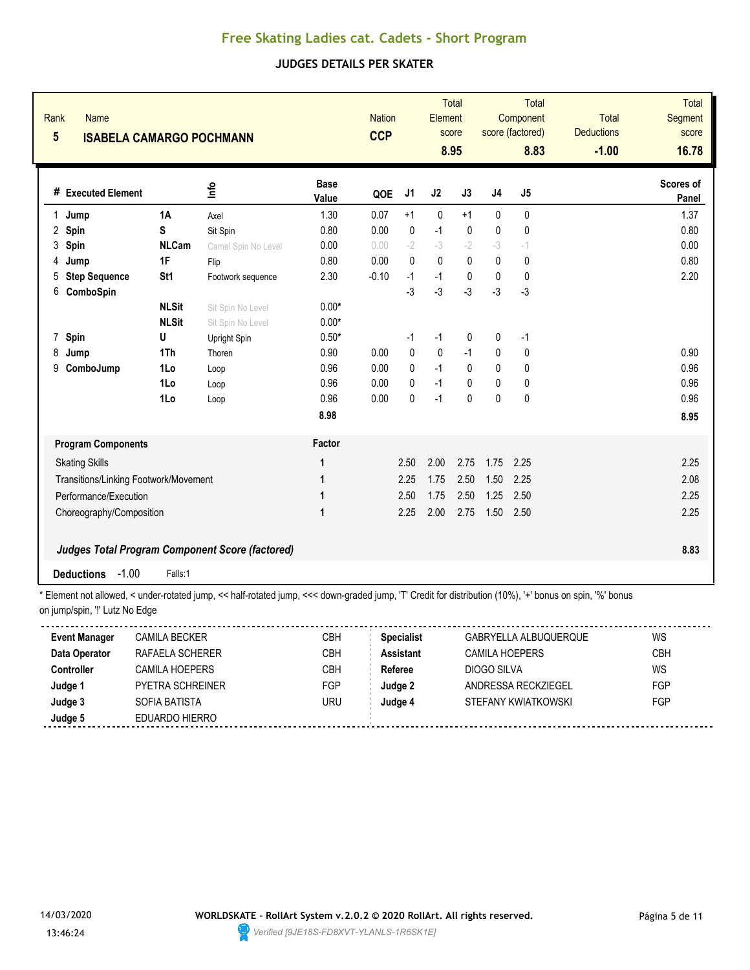### **JUDGES DETAILS PER SKATER**

| Rank | <b>Name</b><br>$5\phantom{.0}$<br><b>ISABELA CAMARGO POCHMANN</b> |                 |                                                        | <b>Nation</b><br><b>CCP</b> |         | <b>Total</b><br>Element<br>score<br>8.95 |              |              | Total<br>Component<br>score (factored)<br>8.83 | <b>Total</b><br><b>Deductions</b><br>$-1.00$ | Total<br><b>Segment</b><br>score<br>16.78 |                    |
|------|-------------------------------------------------------------------|-----------------|--------------------------------------------------------|-----------------------------|---------|------------------------------------------|--------------|--------------|------------------------------------------------|----------------------------------------------|-------------------------------------------|--------------------|
|      | # Executed Element                                                |                 | ۴ů                                                     | <b>Base</b><br>Value        | QOE     | J <sub>1</sub>                           | J2           | J3           | J <sub>4</sub>                                 | J <sub>5</sub>                               |                                           | Scores of<br>Panel |
| 1    | Jump                                                              | <b>1A</b>       | Axel                                                   | 1.30                        | 0.07    | $+1$                                     | $\pmb{0}$    | $+1$         | 0                                              | $\pmb{0}$                                    |                                           | 1.37               |
| 2    | Spin                                                              | S               | Sit Spin                                               | 0.80                        | 0.00    | 0                                        | $-1$         | $\mathbf 0$  | 0                                              | 0                                            |                                           | 0.80               |
| 3    | Spin                                                              | <b>NLCam</b>    | Camel Spin No Level                                    | 0.00                        | 0.00    | $-2$                                     | $-3$         | $-2$         | $-3$                                           | $-1$                                         |                                           | 0.00               |
| 4    | Jump                                                              | 1F              | Flip                                                   | 0.80                        | 0.00    | $\Omega$                                 | $\mathbf{0}$ | 0            | 0                                              | $\pmb{0}$                                    |                                           | 0.80               |
| 5    | <b>Step Sequence</b>                                              | St <sub>1</sub> | Footwork sequence                                      | 2.30                        | $-0.10$ | $-1$                                     | $-1$         | $\mathbf{0}$ | $\mathbf{0}$                                   | 0                                            |                                           | 2.20               |
| 6    | ComboSpin                                                         |                 |                                                        |                             |         | $-3$                                     | $-3$         | $-3$         | $-3$                                           | $-3$                                         |                                           |                    |
|      |                                                                   | <b>NLSit</b>    | Sit Spin No Level                                      | $0.00*$                     |         |                                          |              |              |                                                |                                              |                                           |                    |
|      |                                                                   | <b>NLSit</b>    | Sit Spin No Level                                      | $0.00*$                     |         |                                          |              |              |                                                |                                              |                                           |                    |
|      | 7 Spin                                                            | U               | Upright Spin                                           | $0.50*$                     |         | $-1$                                     | $-1$         | 0            | 0                                              | -1                                           |                                           |                    |
| 8    | Jump                                                              | 1Th             | Thoren                                                 | 0.90                        | 0.00    | $\pmb{0}$                                | $\mathbf 0$  | $-1$         | 0                                              | 0                                            |                                           | 0.90               |
| 9    | ComboJump                                                         | 1Lo             | Loop                                                   | 0.96                        | 0.00    | $\mathbf{0}$                             | $-1$         | $\mathbf{0}$ | 0                                              | 0                                            |                                           | 0.96               |
|      |                                                                   | 1Lo             | Loop                                                   | 0.96                        | 0.00    | 0                                        | $-1$         | 0            | 0                                              | 0                                            |                                           | 0.96               |
|      |                                                                   | 1Lo             | Loop                                                   | 0.96                        | 0.00    | 0                                        | $-1$         | $\mathbf{0}$ | $\Omega$                                       | $\pmb{0}$                                    |                                           | 0.96               |
|      |                                                                   |                 |                                                        | 8.98                        |         |                                          |              |              |                                                |                                              |                                           | 8.95               |
|      | <b>Program Components</b>                                         |                 |                                                        | Factor                      |         |                                          |              |              |                                                |                                              |                                           |                    |
|      | <b>Skating Skills</b>                                             |                 |                                                        | 1                           |         | 2.50                                     | 2.00         | 2.75         | 1.75                                           | 2.25                                         |                                           | 2.25               |
|      | Transitions/Linking Footwork/Movement                             |                 |                                                        | 1                           |         | 2.25                                     | 1.75         | 2.50         | 1.50                                           | 2.25                                         |                                           | 2.08               |
|      | Performance/Execution                                             |                 |                                                        | 1                           |         | 2.50                                     | 1.75         | 2.50         | 1.25                                           | 2.50                                         |                                           | 2.25               |
|      | Choreography/Composition                                          |                 |                                                        | 1                           |         | 2.25                                     | 2.00         | 2.75         | 1.50                                           | 2.50                                         |                                           | 2.25               |
|      |                                                                   |                 | <b>Judges Total Program Component Score (factored)</b> |                             |         |                                          |              |              |                                                |                                              |                                           | 8.83               |
|      | $-1.00$<br><b>Deductions</b>                                      | Falls:1         |                                                        |                             |         |                                          |              |              |                                                |                                              |                                           |                    |

| <b>Event Manager</b> | <b>CAMILA BECKER</b> | СВН        | <b>Specialist</b> | GABRYELLA ALBUQUERQUE | WS         |
|----------------------|----------------------|------------|-------------------|-----------------------|------------|
| Data Operator        | RAFAFI A SCHERFR     | СВН        | <b>Assistant</b>  | CAMILA HOFPERS        | CBH        |
| Controller           | CAMILA HOEPERS       | <b>CBH</b> | Referee           | DIOGO SILVA           | WS         |
| Judge 1              | PYETRA SCHREINER     | FGP        | Judge 2           | ANDRESSA RECKZIEGEL   | <b>FGP</b> |
| Judge 3              | SOFIA BATISTA        | uru        | Judge 4           | STEFANY KWIATKOWSKI   | FGP        |
| Judge 5              | EDUARDO HIERRO       |            |                   |                       |            |
|                      |                      |            |                   |                       |            |

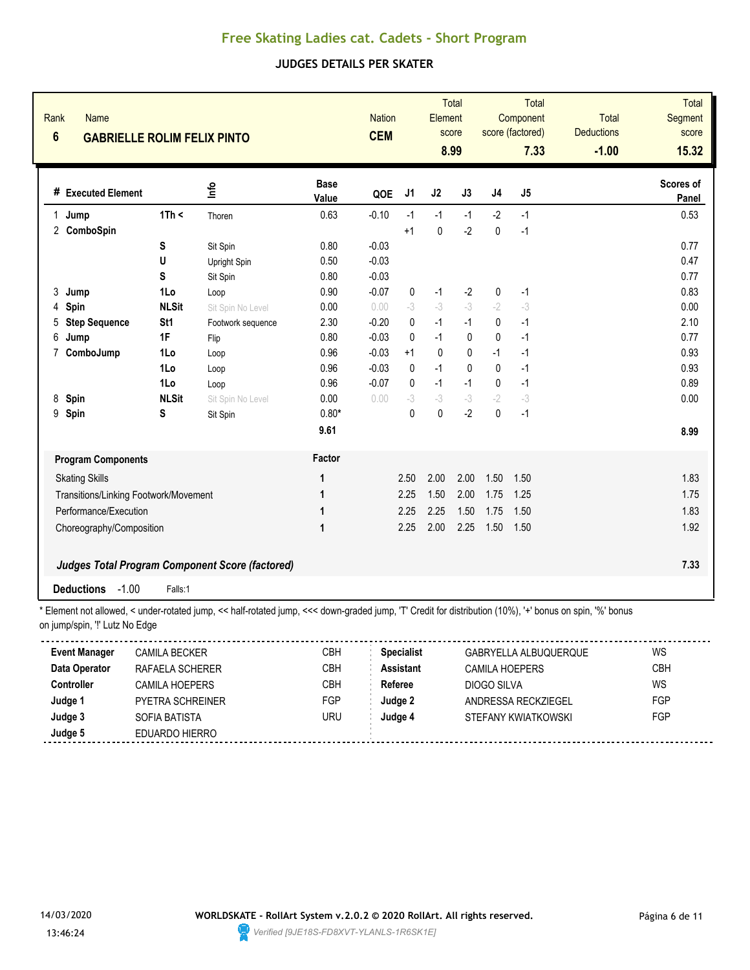#### **JUDGES DETAILS PER SKATER**

| Rank<br>$6\phantom{a}$ | <b>Name</b><br><b>GABRIELLE ROLIM FELIX PINTO</b> |                 |                                                        | <b>Nation</b><br><b>CEM</b> |         |             | <b>Total</b><br>Element<br>score<br>8.99 |              | <b>Total</b><br>Component<br>score (factored)<br>7.33 |      | <b>Total</b><br><b>Deductions</b><br>$-1.00$ | <b>Total</b><br>Segment<br>score<br>15.32 |
|------------------------|---------------------------------------------------|-----------------|--------------------------------------------------------|-----------------------------|---------|-------------|------------------------------------------|--------------|-------------------------------------------------------|------|----------------------------------------------|-------------------------------------------|
|                        | # Executed Element                                |                 | ۹'n                                                    | <b>Base</b><br>Value        | QOE     | J1          | J2                                       | J3           | J <sub>4</sub>                                        | J5   |                                              | Scores of<br>Panel                        |
| 1                      | Jump                                              | 1Th <           | Thoren                                                 | 0.63                        | $-0.10$ | $-1$        | $-1$                                     | $-1$         | $-2$                                                  | $-1$ |                                              | 0.53                                      |
|                        | 2 ComboSpin                                       |                 |                                                        |                             |         | $+1$        | $\mathbf 0$                              | $-2$         | $\mathbf{0}$                                          | $-1$ |                                              |                                           |
|                        |                                                   | S               | Sit Spin                                               | 0.80                        | $-0.03$ |             |                                          |              |                                                       |      |                                              | 0.77                                      |
|                        |                                                   | U               | Upright Spin                                           | 0.50                        | $-0.03$ |             |                                          |              |                                                       |      |                                              | 0.47                                      |
|                        |                                                   | S               | Sit Spin                                               | 0.80                        | $-0.03$ |             |                                          |              |                                                       |      |                                              | 0.77                                      |
| 3                      | Jump                                              | 1Lo             | Loop                                                   | 0.90                        | $-0.07$ | $\mathbf 0$ | $-1$                                     | $-2$         | 0                                                     | $-1$ |                                              | 0.83                                      |
| 4                      | Spin                                              | <b>NLSit</b>    | Sit Spin No Level                                      | 0.00                        | 0.00    | $-3$        | $-3$                                     | $-3$         | $-2$                                                  | $-3$ |                                              | 0.00                                      |
| 5                      | <b>Step Sequence</b>                              | St <sub>1</sub> | Footwork sequence                                      | 2.30                        | $-0.20$ | 0           | $-1$                                     | $-1$         | 0                                                     | $-1$ |                                              | 2.10                                      |
| 6                      | Jump                                              | 1F              | Flip                                                   | 0.80                        | $-0.03$ | 0           | $-1$                                     | 0            | $\pmb{0}$                                             | $-1$ |                                              | 0.77                                      |
| 7                      | ComboJump                                         | 1Lo             | Loop                                                   | 0.96                        | $-0.03$ | $+1$        | $\mathbf{0}$                             | $\mathbf{0}$ | $-1$                                                  | $-1$ |                                              | 0.93                                      |
|                        |                                                   | 1Lo             | Loop                                                   | 0.96                        | $-0.03$ | $\Omega$    | $-1$                                     | $\mathbf{0}$ | $\Omega$                                              | $-1$ |                                              | 0.93                                      |
|                        |                                                   | 1Lo             | Loop                                                   | 0.96                        | $-0.07$ | 0           | $-1$                                     | $-1$         | $\mathbf{0}$                                          | $-1$ |                                              | 0.89                                      |
| 8                      | Spin                                              | <b>NLSit</b>    | Sit Spin No Level                                      | 0.00                        | 0.00    | $-3$        | $-3$                                     | $-3$         | $-2$                                                  | $-3$ |                                              | 0.00                                      |
| 9                      | Spin                                              | S               | Sit Spin                                               | $0.80*$                     |         | $\Omega$    | $\mathbf{0}$                             | $-2$         | $\Omega$                                              | $-1$ |                                              |                                           |
|                        |                                                   |                 |                                                        | 9.61                        |         |             |                                          |              |                                                       |      |                                              | 8.99                                      |
|                        | <b>Program Components</b>                         |                 |                                                        | Factor                      |         |             |                                          |              |                                                       |      |                                              |                                           |
|                        | <b>Skating Skills</b>                             |                 |                                                        | 1                           |         | 2.50        | 2.00                                     | 2.00         | 1.50                                                  | 1.50 |                                              | 1.83                                      |
|                        | Transitions/Linking Footwork/Movement             |                 |                                                        | 1                           |         | 2.25        | 1.50                                     | 2.00         | 1.75                                                  | 1.25 |                                              | 1.75                                      |
|                        | Performance/Execution                             |                 |                                                        | 1                           |         | 2.25        | 2.25                                     | 1.50         | 1.75                                                  | 1.50 |                                              | 1.83                                      |
|                        | Choreography/Composition                          |                 |                                                        | 1                           |         | 2.25        | 2.00                                     | 2.25         | 1.50                                                  | 1.50 |                                              | 1.92                                      |
|                        |                                                   |                 | <b>Judges Total Program Component Score (factored)</b> |                             |         |             |                                          |              |                                                       |      |                                              | 7.33                                      |
|                        | <b>Deductions</b><br>$-1.00$                      | Falls:1         |                                                        |                             |         |             |                                          |              |                                                       |      |                                              |                                           |

\* Element not allowed, < under-rotated jump, << half-rotated jump, <<< down-graded jump, 'T' Credit for distribution (10%), '+' bonus on spin, '%' bonus on jump/spin, '!' Lutz No Edge

| <b>Event Manager</b> | CAMILA BECKER           | СВН | <b>Specialist</b> | GABRYELLA ALBUQUERQUE | WS         |
|----------------------|-------------------------|-----|-------------------|-----------------------|------------|
| Data Operator        | RAFAFI A SCHERER        | CBH | <b>Assistant</b>  | CAMILA HOFPERS        | CBH        |
| <b>Controller</b>    | CAMILA HOFPFRS          | CBH | Referee           | DIOGO SILVA           | WS         |
| Judge 1              | <b>PYETRA SCHREINER</b> | FGP | Judae 2           | ANDRESSA RECKZIEGEL   | FGP        |
| Judge 3              | SOFIA BATISTA           | uru | Judge 4           | STEFANY KWIATKOWSKI   | <b>FGP</b> |
| Judge 5              | EDUARDO HIERRO          |     |                   |                       |            |
|                      |                         |     |                   |                       |            |

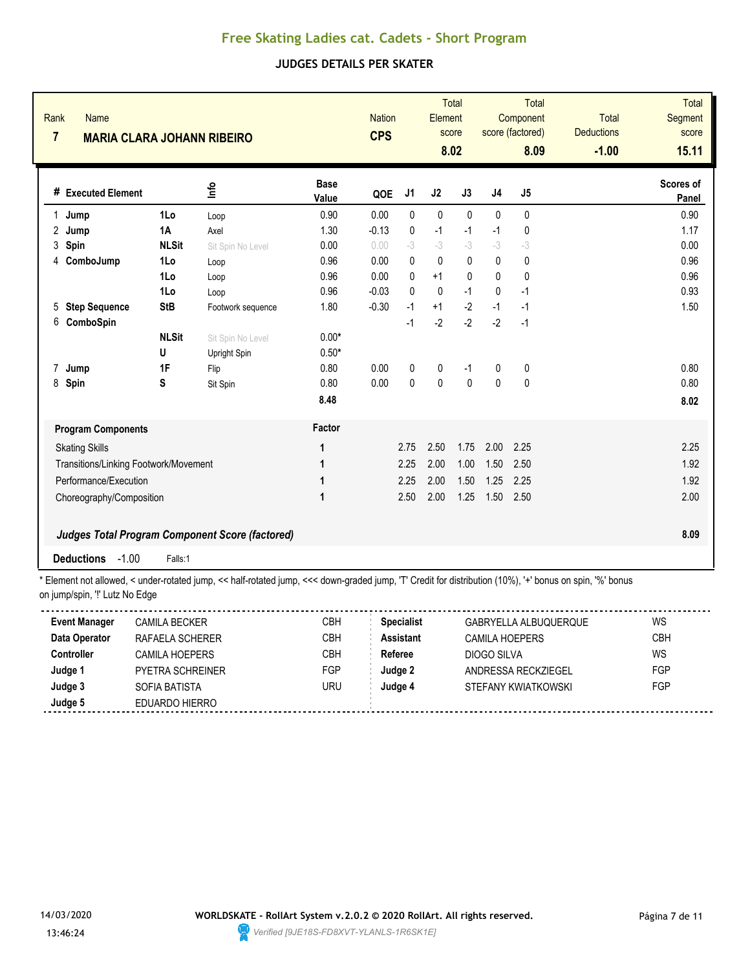### **JUDGES DETAILS PER SKATER**

| 1      | # Executed Element                    |                   | Rank<br><b>Name</b><br>$\overline{7}$<br><b>MARIA CLARA JOHANN RIBEIRO</b> |                      | <b>CPS</b> |              | <b>Total</b><br>Element<br>score<br>8.02 |              | <b>Total</b><br>Component<br>score (factored)<br>8.09 |              | <b>Total</b><br><b>Deductions</b><br>$-1.00$ | <b>Total</b><br>Segment<br>score<br>15.11 |
|--------|---------------------------------------|-------------------|----------------------------------------------------------------------------|----------------------|------------|--------------|------------------------------------------|--------------|-------------------------------------------------------|--------------|----------------------------------------------|-------------------------------------------|
|        |                                       |                   | 울                                                                          | <b>Base</b><br>Value | QOE        | J1           | J <sub>2</sub>                           | J3           | J <sub>4</sub>                                        | J5           |                                              | Scores of<br>Panel                        |
|        | Jump                                  | 1Lo               | Loop                                                                       | 0.90                 | 0.00       | $\mathbf{0}$ | $\mathbf 0$                              | $\mathbf{0}$ | $\mathbf{0}$                                          | $\mathbf{0}$ |                                              | 0.90                                      |
| 2      | Jump                                  | <b>1A</b>         | Axel                                                                       | 1.30                 | $-0.13$    | $\mathbf 0$  | $-1$                                     | $-1$         | $-1$                                                  | $\mathbf 0$  |                                              | 1.17                                      |
| 3      | Spin                                  | <b>NLSit</b>      | Sit Spin No Level                                                          | 0.00                 | 0.00       | $-3$         | $-3$                                     | $-3$         | $-3$                                                  | -3           |                                              | 0.00                                      |
| 4      | ComboJump                             | 1Lo               | Loop                                                                       | 0.96                 | 0.00       | 0            | $\mathbf{0}$                             | $\mathbf{0}$ | $\mathbf{0}$                                          | $\pmb{0}$    |                                              | 0.96                                      |
|        |                                       | 1Lo               | Loop                                                                       | 0.96                 | 0.00       | 0            | $+1$                                     | $\mathbf{0}$ | $\Omega$                                              | 0            |                                              | 0.96                                      |
|        |                                       | 1Lo               | Loop                                                                       | 0.96                 | $-0.03$    | $\mathbf{0}$ | $\mathbf 0$                              | $-1$         | $\mathbf{0}$                                          | $-1$         |                                              | 0.93                                      |
| 5      | <b>Step Sequence</b>                  | <b>StB</b>        | Footwork sequence                                                          | 1.80                 | $-0.30$    | $-1$         | $+1$                                     | $-2$         | $-1$                                                  | $-1$         |                                              | 1.50                                      |
| 6      | ComboSpin                             |                   |                                                                            |                      |            | $-1$         | $-2$                                     | $-2$         | $-2$                                                  | $-1$         |                                              |                                           |
|        |                                       | <b>NLSit</b><br>U | Sit Spin No Level<br>Upright Spin                                          | $0.00*$<br>$0.50*$   |            |              |                                          |              |                                                       |              |                                              |                                           |
| 7      | Jump                                  | 1F                | Flip                                                                       | 0.80                 | 0.00       | 0            | $\pmb{0}$                                | $-1$         | 0                                                     | 0            |                                              | 0.80                                      |
| 8 Spin |                                       | S                 | Sit Spin                                                                   | 0.80                 | 0.00       | 0            | $\pmb{0}$                                | $\mathbf{0}$ | $\mathbf{0}$                                          | $\pmb{0}$    |                                              | 0.80                                      |
|        |                                       |                   |                                                                            | 8.48                 |            |              |                                          |              |                                                       |              |                                              | 8.02                                      |
|        | <b>Program Components</b>             |                   |                                                                            | Factor               |            |              |                                          |              |                                                       |              |                                              |                                           |
|        | <b>Skating Skills</b>                 |                   |                                                                            | 1                    |            | 2.75         | 2.50                                     | 1.75         | 2.00                                                  | 2.25         |                                              | 2.25                                      |
|        | Transitions/Linking Footwork/Movement |                   |                                                                            | 1                    |            | 2.25         | 2.00                                     | 1.00         | 1.50                                                  | 2.50         |                                              | 1.92                                      |
|        | Performance/Execution                 |                   |                                                                            | 1                    |            | 2.25         | 2.00                                     | 1.50         | 1.25                                                  | 2.25         |                                              | 1.92                                      |
|        | Choreography/Composition              |                   |                                                                            | 1                    |            | 2.50         | 2.00                                     | 1.25         | 1.50                                                  | 2.50         |                                              | 2.00                                      |
|        |                                       |                   | <b>Judges Total Program Component Score (factored)</b>                     |                      |            |              |                                          |              |                                                       |              |                                              | 8.09                                      |

\* Element not allowed, < under-rotated jump, << half-rotated jump, <<< down-graded jump, 'T' Credit for distribution (10%), '+' bonus on spin, '%' bonus on jump/spin, '!' Lutz No Edge

| <b>Event Manager</b> | CAMILA BECKER           | CBH        | <b>Specialist</b> | GABRYELLA ALBUQUERQUE | WS         |
|----------------------|-------------------------|------------|-------------------|-----------------------|------------|
| Data Operator        | RAFAELA SCHERER         | СВН        | <b>Assistant</b>  | CAMILA HOEPERS        | <b>CBH</b> |
| Controller           | CAMILA HOEPERS          | CBH        | Referee           | DIOGO SILVA           | WS         |
| Judge 1              | <b>PYETRA SCHREINER</b> | <b>FGP</b> | Judge 2           | ANDRESSA RECKZIEGEL   | <b>FGP</b> |
| Judge 3              | SOFIA BATISTA           | URU        | Judge 4           | STEFANY KWIATKOWSKI   | <b>FGP</b> |
| Judge 5              | EDUARDO HIERRO          |            |                   |                       |            |

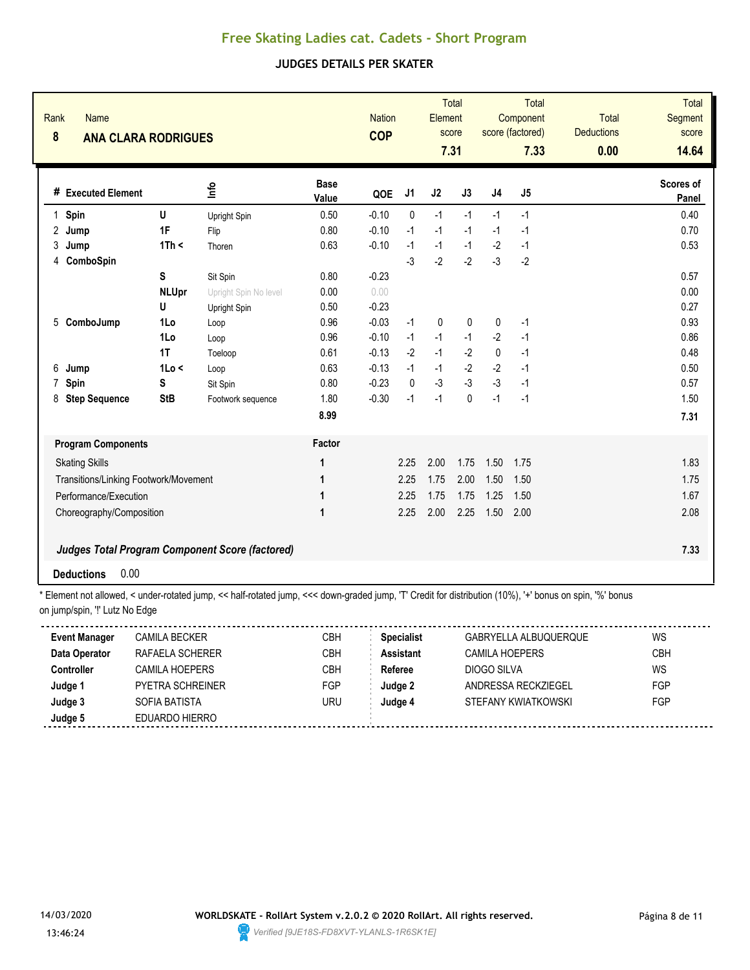### **JUDGES DETAILS PER SKATER**

| Rank<br><b>Name</b><br>8<br><b>ANA CLARA RODRIGUES</b>                                                                                                   |              |                                                 |                      | <b>Nation</b><br><b>COP</b> |              | Element     | <b>Total</b><br>score<br>7.31 |                | <b>Total</b><br>Component<br>score (factored)<br>7.33 | Total<br><b>Deductions</b><br>0.00 | <b>Total</b><br>Segment<br>score<br>14.64 |
|----------------------------------------------------------------------------------------------------------------------------------------------------------|--------------|-------------------------------------------------|----------------------|-----------------------------|--------------|-------------|-------------------------------|----------------|-------------------------------------------------------|------------------------------------|-------------------------------------------|
| # Executed Element                                                                                                                                       |              | lnfo                                            | <b>Base</b><br>Value | QOE                         | J1           | J2          | J3                            | J <sub>4</sub> | J5                                                    |                                    | Scores of<br>Panel                        |
| Spin<br>$\mathbf{1}$                                                                                                                                     | U            | Upright Spin                                    | 0.50                 | $-0.10$                     | $\mathbf{0}$ | $-1$        | $-1$                          | $-1$           | $-1$                                                  |                                    | 0.40                                      |
| 2<br>Jump                                                                                                                                                | 1F           | Flip                                            | 0.80                 | $-0.10$                     | $-1$         | $-1$        | $-1$                          | $-1$           | $-1$                                                  |                                    | 0.70                                      |
| 3<br>Jump                                                                                                                                                | 1Th <        | Thoren                                          | 0.63                 | $-0.10$                     | $-1$         | $-1$        | $-1$                          | $-2$           | $-1$                                                  |                                    | 0.53                                      |
| ComboSpin<br>4                                                                                                                                           |              |                                                 |                      |                             | $-3$         | $-2$        | $-2$                          | $-3$           | $-2$                                                  |                                    |                                           |
|                                                                                                                                                          | S            | Sit Spin                                        | 0.80                 | $-0.23$                     |              |             |                               |                |                                                       |                                    | 0.57                                      |
|                                                                                                                                                          | <b>NLUpr</b> | Upright Spin No level                           | 0.00                 | 0.00                        |              |             |                               |                |                                                       |                                    | 0.00                                      |
|                                                                                                                                                          | U            | Upright Spin                                    | 0.50                 | $-0.23$                     |              |             |                               |                |                                                       |                                    | 0.27                                      |
| ComboJump<br>5                                                                                                                                           | 1Lo          | Loop                                            | 0.96                 | $-0.03$                     | $-1$         | $\mathbf 0$ | 0                             | 0              | $-1$                                                  |                                    | 0.93                                      |
|                                                                                                                                                          | 1Lo          | Loop                                            | 0.96                 | $-0.10$                     | $-1$         | $-1$        | $-1$                          | $-2$           | $-1$                                                  |                                    | 0.86                                      |
|                                                                                                                                                          | 1T           | Toeloop                                         | 0.61                 | $-0.13$                     | $-2$         | $-1$        | $-2$                          | 0              | $-1$                                                  |                                    | 0.48                                      |
| 6<br>Jump                                                                                                                                                | 1Lo <        | Loop                                            | 0.63                 | $-0.13$                     | $-1$         | $-1$        | $-2$                          | $-2$           | $-1$                                                  |                                    | 0.50                                      |
| $\overline{7}$<br>Spin                                                                                                                                   | S            | Sit Spin                                        | 0.80                 | $-0.23$                     | 0            | $-3$        | $-3$                          | $-3$           | $-1$                                                  |                                    | 0.57                                      |
| 8<br><b>Step Sequence</b>                                                                                                                                | <b>StB</b>   | Footwork sequence                               | 1.80                 | $-0.30$                     | $-1$         | $-1$        | $\Omega$                      | $-1$           | $-1$                                                  |                                    | 1.50                                      |
|                                                                                                                                                          |              |                                                 | 8.99                 |                             |              |             |                               |                |                                                       |                                    | 7.31                                      |
| <b>Program Components</b>                                                                                                                                |              |                                                 | Factor               |                             |              |             |                               |                |                                                       |                                    |                                           |
| <b>Skating Skills</b>                                                                                                                                    |              |                                                 | 1                    |                             | 2.25         | 2.00        | 1.75                          | 1.50           | 1.75                                                  |                                    | 1.83                                      |
| Transitions/Linking Footwork/Movement                                                                                                                    |              |                                                 | 1                    |                             | 2.25         | 1.75        | 2.00                          | 1.50           | 1.50                                                  |                                    | 1.75                                      |
| Performance/Execution                                                                                                                                    |              |                                                 | 1                    |                             | 2.25         | 1.75        | 1.75                          | 1.25           | 1.50                                                  |                                    | 1.67                                      |
| Choreography/Composition                                                                                                                                 |              | 1                                               |                      | 2.25                        | 2.00         | 2.25        | 1.50                          | 2.00           |                                                       | 2.08                               |                                           |
|                                                                                                                                                          |              | Judges Total Program Component Score (factored) |                      |                             |              |             |                               |                |                                                       |                                    | 7.33                                      |
| 0.00<br><b>Deductions</b>                                                                                                                                |              |                                                 |                      |                             |              |             |                               |                |                                                       |                                    |                                           |
| * Element not allowed, < under-rotated jump, << half-rotated jump, <<< down-graded jump, 'T' Credit for distribution (10%), '+' bonus on spin, '%' bonus |              |                                                 |                      |                             |              |             |                               |                |                                                       |                                    |                                           |

| <b>Event Manager</b> | <b>CAMILA BECKER</b>    | CBH        | <b>Specialist</b> | GABRYELLA ALBUQUERQUE | WS  |
|----------------------|-------------------------|------------|-------------------|-----------------------|-----|
| Data Operator        | RAFAELA SCHERER         | СВН        | <b>Assistant</b>  | <b>CAMILA HOEPERS</b> | CBH |
| <b>Controller</b>    | CAMILA HOFPFRS          | <b>CBH</b> | Referee           | DIOGO SILVA           | WS  |
| Judge 1              | <b>PYFTRA SCHREINER</b> | FGP        | Judge 2           | ANDRESSA RECKZIEGEL   | FGP |
| Judge 3              | SOFIA BATISTA           | URU        | Judge 4           | STEFANY KWIATKOWSKI   | FGP |
| Judge 5              | EDUARDO HIERRO          |            |                   |                       |     |
|                      |                         |            |                   |                       |     |

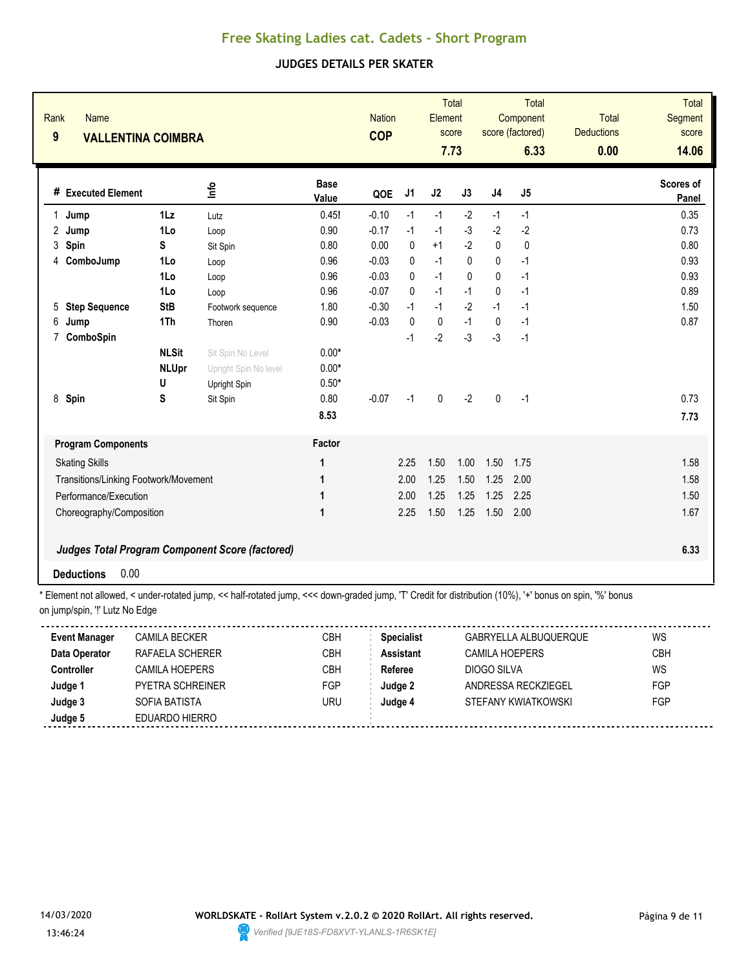### **JUDGES DETAILS PER SKATER**

| Rank<br><b>Name</b><br>9<br><b>VALLENTINA COIMBRA</b> |                                   |                                                            |                               | <b>Nation</b><br><b>COP</b> |                | Element     | <b>Total</b><br>score<br>7.73 |                | Total<br>Component<br>score (factored)<br>6.33 | <b>Total</b><br><b>Deductions</b><br>0.00 | <b>Total</b><br><b>Segment</b><br>score<br>14.06 |
|-------------------------------------------------------|-----------------------------------|------------------------------------------------------------|-------------------------------|-----------------------------|----------------|-------------|-------------------------------|----------------|------------------------------------------------|-------------------------------------------|--------------------------------------------------|
| # Executed Element                                    |                                   | <u>lnfo</u>                                                | <b>Base</b><br>Value          | QOE                         | J <sub>1</sub> | J2          | J3                            | J <sub>4</sub> | J5                                             |                                           | Scores of<br>Panel                               |
| $\mathbf{1}$<br>Jump                                  | $1\mathsf{L}z$                    | Lutz                                                       | 0.45!                         | $-0.10$                     | $-1$           | $-1$        | $-2$                          | $-1$           | $-1$                                           |                                           | 0.35                                             |
| $\overline{2}$<br>Jump                                | 1Lo                               | Loop                                                       | 0.90                          | $-0.17$                     | $-1$           | $-1$        | $-3$                          | $-2$           | $-2$                                           |                                           | 0.73                                             |
| 3<br>Spin                                             | S                                 | Sit Spin                                                   | 0.80                          | 0.00                        | $\mathbf{0}$   | $+1$        | $-2$                          | $\Omega$       | $\pmb{0}$                                      |                                           | 0.80                                             |
| ComboJump<br>4                                        | 1Lo                               | Loop                                                       | 0.96                          | $-0.03$                     | $\mathbf{0}$   | $-1$        | $\mathbf{0}$                  | $\mathbf{0}$   | $-1$                                           |                                           | 0.93                                             |
|                                                       | 1Lo                               | Loop                                                       | 0.96                          | $-0.03$                     | 0              | $-1$        | $\mathbf{0}$                  | $\mathbf{0}$   | $-1$                                           |                                           | 0.93                                             |
|                                                       | 1Lo                               | Loop                                                       | 0.96                          | $-0.07$                     | $\mathbf{0}$   | $-1$        | $-1$                          | 0              | $-1$                                           |                                           | 0.89                                             |
| <b>Step Sequence</b><br>5                             | <b>StB</b>                        | Footwork sequence                                          | 1.80                          | $-0.30$                     | $-1$           | $-1$        | $-2$                          | $-1$           | $-1$                                           |                                           | 1.50                                             |
| 6<br>Jump                                             | 1Th                               | Thoren                                                     | 0.90                          | $-0.03$                     | 0              | $\mathbf 0$ | $-1$                          | $\mathbf{0}$   | $-1$                                           |                                           | 0.87                                             |
| $\overline{7}$<br>ComboSpin                           | <b>NLSit</b><br><b>NLUpr</b><br>U | Sit Spin No Level<br>Upright Spin No level<br>Upright Spin | $0.00*$<br>$0.00*$<br>$0.50*$ |                             | $-1$           | $-2$        | $-3$                          | $-3$           | $-1$                                           |                                           |                                                  |
| 8 Spin                                                | S                                 | Sit Spin                                                   | 0.80<br>8.53                  | $-0.07$                     | $-1$           | $\pmb{0}$   | $-2$                          | 0              | $-1$                                           |                                           | 0.73<br>7.73                                     |
| <b>Program Components</b>                             |                                   |                                                            | Factor                        |                             |                |             |                               |                |                                                |                                           |                                                  |
| <b>Skating Skills</b>                                 |                                   |                                                            | 1                             |                             | 2.25           | 1.50        | 1.00                          | 1.50           | 1.75                                           |                                           | 1.58                                             |
| Transitions/Linking Footwork/Movement                 |                                   |                                                            | 1                             |                             | 2.00           | 1.25        | 1.50                          | 1.25           | 2.00                                           |                                           | 1.58                                             |
| Performance/Execution                                 |                                   |                                                            | 1                             |                             | 2.00           | 1.25        | 1.25                          | 1.25           | 2.25                                           |                                           | 1.50                                             |
| 1<br>Choreography/Composition                         |                                   |                                                            |                               |                             | 2.25           | 1.50        | 1.25                          | 1.50           | 2.00                                           |                                           | 1.67                                             |
|                                                       |                                   | Judges Total Program Component Score (factored)            |                               |                             |                |             |                               |                |                                                |                                           | 6.33                                             |
| 0.00<br><b>Deductions</b>                             |                                   |                                                            |                               |                             |                |             |                               |                |                                                |                                           |                                                  |

\* Element not allowed, < under-rotated jump, << half-rotated jump, <<< down-graded jump, 'T' Credit for distribution (10%), '+' bonus on spin, '%' bonus on jump/spin, "!' Lutz No Edge

| <b>Event Manager</b> | <b>CAMILA BECKER</b>    | СВН | <b>Specialist</b> | <b>GABRYELLA ALBUQUERQUE</b> | WS   |
|----------------------|-------------------------|-----|-------------------|------------------------------|------|
| Data Operator        | RAFAELA SCHERER         | СВН | Assistant         | <b>CAMILA HOEPERS</b>        | CBH. |
| <b>Controller</b>    | CAMILA HOFPFRS          | СВН | Referee           | DIOGO SILVA                  | WS   |
| Judge 1              | <b>PYFTRA SCHREINER</b> | FGP | Judge 2           | ANDRESSA RECKZIEGEL          | FGP  |
| Judge 3              | SOFIA BATISTA           | uru | Judge 4           | STEFANY KWIATKOWSKI          | FGP  |
| Judge 5              | EDUARDO HIERRO          |     |                   |                              |      |
|                      |                         |     |                   |                              |      |

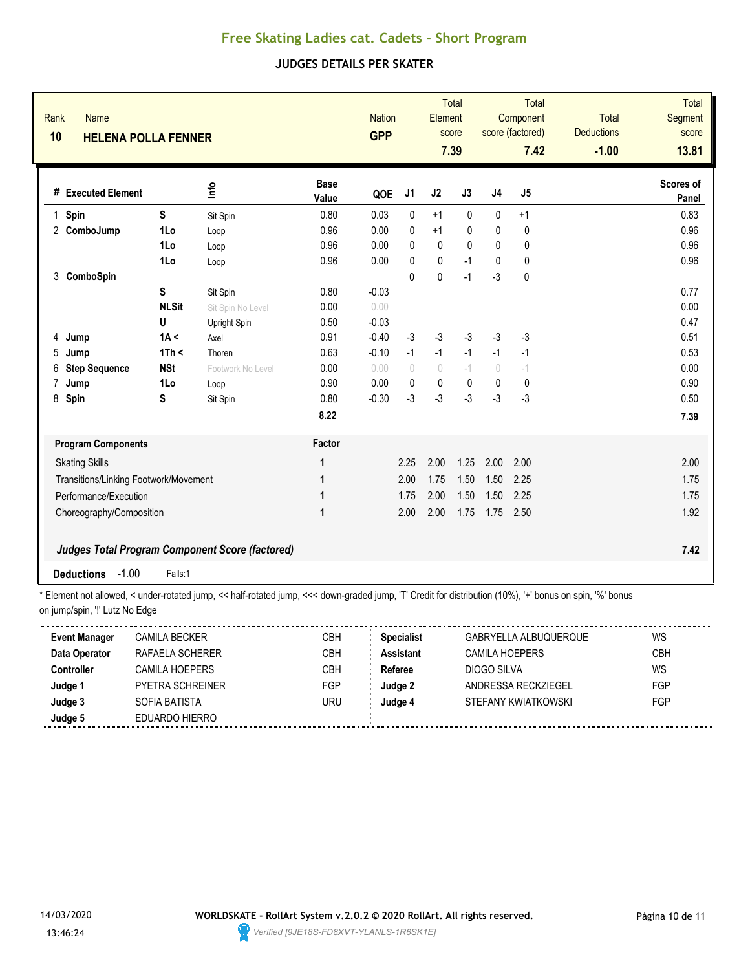### **JUDGES DETAILS PER SKATER**

|                          |                                       | <b>HELENA POLLA FENNER</b> |                                                        |                      | <b>Nation</b><br><b>GPP</b> |           | <b>Total</b><br>Element          | score<br>7.39 |                                  | Total<br>Component<br>score (factored)<br>7.42 | <b>Total</b><br><b>Deductions</b><br>$-1.00$ | <b>Total</b><br><b>Segment</b><br>score<br>13.81 |
|--------------------------|---------------------------------------|----------------------------|--------------------------------------------------------|----------------------|-----------------------------|-----------|----------------------------------|---------------|----------------------------------|------------------------------------------------|----------------------------------------------|--------------------------------------------------|
|                          | # Executed Element                    |                            | ۵'n                                                    | <b>Base</b><br>Value | QOE                         | J1        | J2                               | J3            | J <sub>4</sub>                   | J5                                             |                                              | Scores of<br>Panel                               |
| $\mathbf 1$              | Spin                                  | S                          | Sit Spin                                               | 0.80                 | 0.03                        | 0         | $+1$                             | $\mathbf{0}$  | 0                                | $+1$                                           |                                              | 0.83                                             |
|                          | 2 ComboJump                           | 1Lo                        | Loop                                                   | 0.96                 | 0.00                        | 0         | $+1$                             | 0             | 0                                | 0                                              |                                              | 0.96                                             |
|                          |                                       | 1Lo                        | Loop                                                   | 0.96                 | 0.00                        | 0         | 0                                | 0             | $\Omega$                         | 0                                              |                                              | 0.96                                             |
|                          |                                       | 1Lo                        | Loop                                                   | 0.96                 | 0.00                        | 0         | 0                                | $-1$          | $\mathbf{0}$                     | $\pmb{0}$                                      |                                              | 0.96                                             |
| 3                        | ComboSpin                             |                            |                                                        |                      |                             | $\Omega$  | $\pmb{0}$                        | $-1$          | $-3$                             | 0                                              |                                              |                                                  |
|                          |                                       | S                          | Sit Spin                                               | 0.80                 | $-0.03$                     |           |                                  |               |                                  |                                                |                                              | 0.77                                             |
|                          |                                       | <b>NLSit</b>               | Sit Spin No Level                                      | 0.00                 | 0.00                        |           |                                  |               |                                  |                                                |                                              | 0.00                                             |
|                          |                                       | U                          | Upright Spin                                           | 0.50                 | $-0.03$                     |           |                                  |               |                                  |                                                |                                              | 0.47                                             |
| 4                        | Jump                                  | 1A <                       | Axel                                                   | 0.91                 | $-0.40$                     | $-3$      | $-3$                             | $-3$          | $-3$                             | $-3$                                           |                                              | 0.51                                             |
| 5                        | Jump                                  | 1Th <                      | Thoren                                                 | 0.63                 | $-0.10$                     | $-1$      | $-1$                             | $-1$          | $-1$                             | $-1$                                           |                                              | 0.53                                             |
| 6                        | <b>Step Sequence</b>                  | <b>NSt</b>                 | Footwork No Level                                      | 0.00                 | 0.00                        | $\bigcap$ | $\begin{array}{c} \n\end{array}$ | $-1$          | $\begin{array}{c} \n\end{array}$ | $-1$                                           |                                              | 0.00                                             |
| 7                        | Jump                                  | 1Lo                        | Loop                                                   | 0.90                 | 0.00                        | 0         | 0                                | 0             | 0                                | 0                                              |                                              | 0.90                                             |
| 8                        | Spin                                  | S                          | Sit Spin                                               | 0.80                 | $-0.30$                     | $-3$      | $-3$                             | $-3$          | $-3$                             | $-3$                                           |                                              | 0.50                                             |
|                          |                                       |                            |                                                        | 8.22                 |                             |           |                                  |               |                                  |                                                |                                              | 7.39                                             |
|                          | <b>Program Components</b>             |                            |                                                        | Factor               |                             |           |                                  |               |                                  |                                                |                                              |                                                  |
|                          | <b>Skating Skills</b>                 |                            |                                                        | 1                    |                             | 2.25      | 2.00                             | 1.25          | 2.00                             | 2.00                                           |                                              | 2.00                                             |
|                          | Transitions/Linking Footwork/Movement |                            |                                                        | 1                    |                             | 2.00      | 1.75                             | 1.50          | 1.50                             | 2.25                                           |                                              | 1.75                                             |
|                          | Performance/Execution                 |                            |                                                        | 1                    |                             | 1.75      | 2.00                             | 1.50          | 1.50                             | 2.25                                           |                                              | 1.75                                             |
| Choreography/Composition |                                       | 1                          |                                                        | 2.00                 | 2.00                        | 1.75      | 1.75                             | 2.50          |                                  | 1.92                                           |                                              |                                                  |
|                          |                                       |                            | <b>Judges Total Program Component Score (factored)</b> |                      |                             |           |                                  |               |                                  |                                                |                                              | 7.42                                             |
|                          | $-1.00$<br><b>Deductions</b>          | Falls:1                    |                                                        |                      |                             |           |                                  |               |                                  |                                                |                                              |                                                  |

| <b>Event Manager</b> | CAMILA BECKER           | CBH        | <b>Specialist</b> | GABRYELLA ALBUQUERQUE | WS         |
|----------------------|-------------------------|------------|-------------------|-----------------------|------------|
| Data Operator        | RAFAFI A SCHERFR        | СВН        | Assistant         | CAMILA HOEPERS        | CBH        |
| <b>Controller</b>    | <b>CAMILA HOEPERS</b>   | <b>CBH</b> | Referee           | DIOGO SILVA           | WS         |
| Judge 1              | <b>PYFTRA SCHREINER</b> | <b>FGP</b> | Judge 2           | ANDRESSA RECKZIEGEL   | FGP        |
| Judge 3              | SOFIA BATISTA           | uru        | Judge 4           | STEFANY KWIATKOWSKI   | <b>FGP</b> |
| Judge 5              | EDUARDO HIERRO          |            |                   |                       |            |
|                      |                         |            |                   |                       |            |